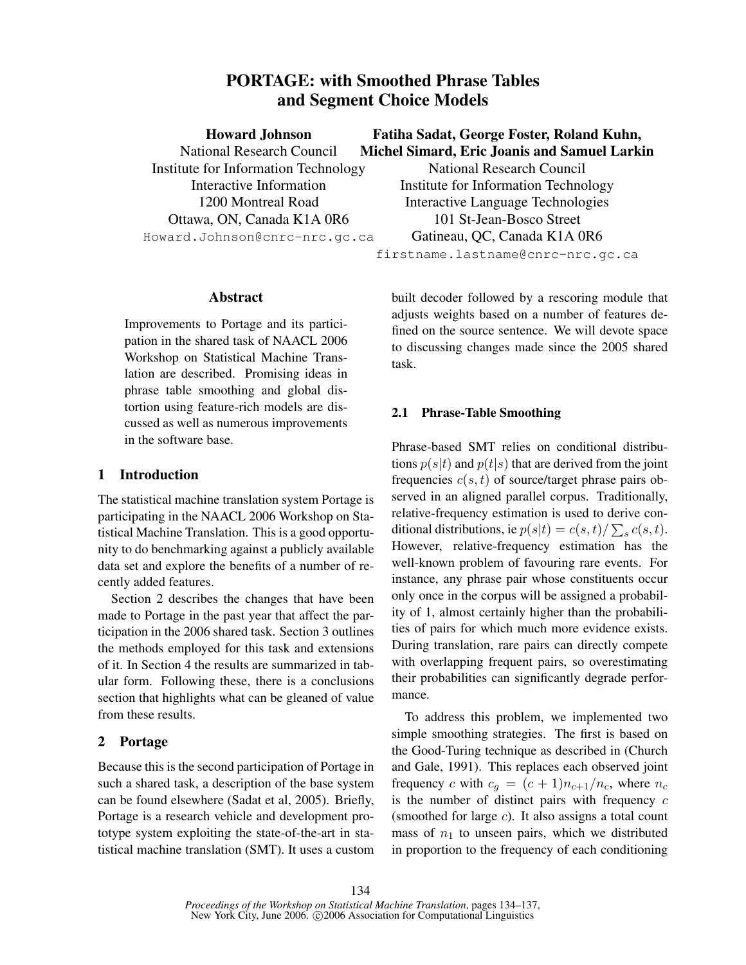# PORTAGE: with Smoothed Phrase Tables and Segment Choice Models

National Research Council Institute for Information Technology Interactive Information 1200 Montreal Road Ottawa, ON, Canada K1A 0R6 Howard.Johnson@cnrc-nrc.gc.ca

## Fatiha Sadat, George Foster, Roland Kuhn, Michel Simard, Eric Joanis and Samuel Larkin

National Research Council Institute for Information Technology Interactive Language Technologies 101 St-Jean-Bosco Street Gatineau, QC, Canada K1A 0R6 firstname.lastname@cnrc-nrc.gc.ca

## Abstract

Improvements to Portage and its participation in the shared task of NAACL 2006 Workshop on Statistical Machine Translation are described. Promising ideas in phrase table smoothing and global distortion using feature-rich models are discussed as well as numerous improvements in the software base.

## 1 Introduction

The statistical machine translation system Portage is participating in the NAACL 2006 Workshop on Statistical Machine Translation. This is a good opportunity to do benchmarking against a publicly available data set and explore the benefits of a number of recently added features.

Section 2 describes the changes that have been made to Portage in the past year that affect the participation in the 2006 shared task. Section 3 outlines the methods employed for this task and extensions of it. In Section 4 the results are summarized in tabular form. Following these, there is a conclusions section that highlights what can be gleaned of value from these results.

## 2 Portage

Because this is the second participation of Portage in such a shared task, a description of the base system can be found elsewhere (Sadat et al, 2005). Briefly, Portage is a research vehicle and development prototype system exploiting the state-of-the-art in statistical machine translation (SMT). It uses a custom

built decoder followed by a rescoring module that adjusts weights based on a number of features defined on the source sentence. We will devote space to discussing changes made since the 2005 shared task.

## 2.1 Phrase-Table Smoothing

Phrase-based SMT relies on conditional distributions  $p(s|t)$  and  $p(t|s)$  that are derived from the joint frequencies  $c(s, t)$  of source/target phrase pairs observed in an aligned parallel corpus. Traditionally, relative-frequency estimation is used to derive conditional distributions, ie  $p(s|t) = c(s,t)/\sum_s c(s,t)$ . However, relative-frequency estimation has the well-known problem of favouring rare events. For instance, any phrase pair whose constituents occur only once in the corpus will be assigned a probability of 1, almost certainly higher than the probabilities of pairs for which much more evidence exists. During translation, rare pairs can directly compete with overlapping frequent pairs, so overestimating their probabilities can significantly degrade performance.

To address this problem, we implemented two simple smoothing strategies. The first is based on the Good-Turing technique as described in (Church and Gale, 1991). This replaces each observed joint frequency c with  $c_q = (c + 1)n_{c+1}/n_c$ , where  $n_c$ is the number of distinct pairs with frequency  $c$ (smoothed for large  $c$ ). It also assigns a total count mass of  $n_1$  to unseen pairs, which we distributed in proportion to the frequency of each conditioning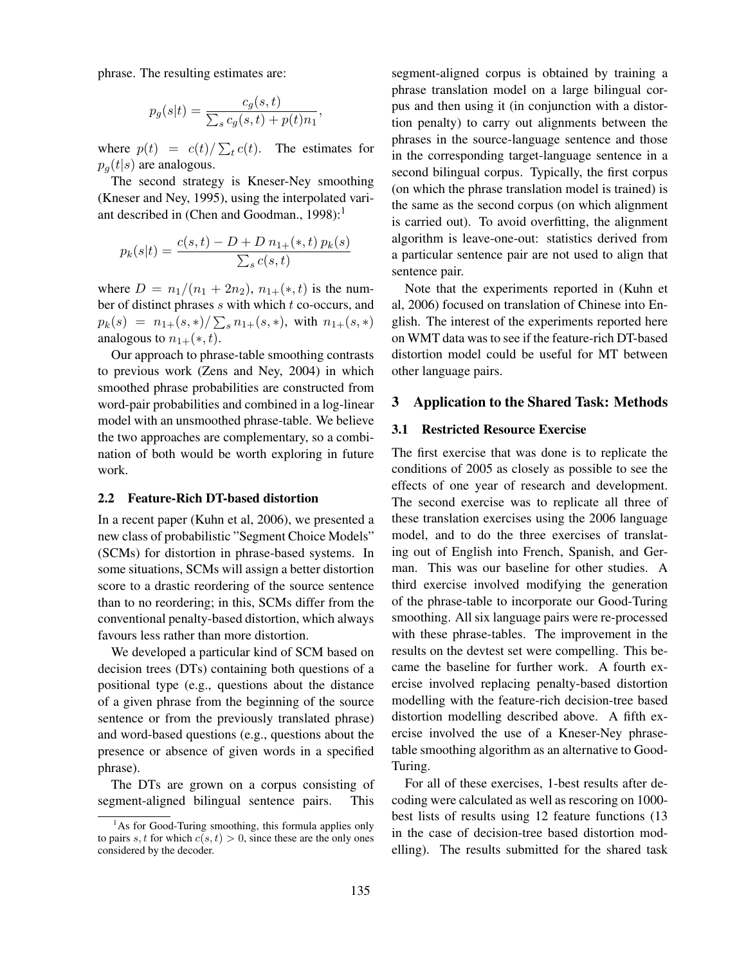phrase. The resulting estimates are:

$$
p_g(s|t) = \frac{c_g(s,t)}{\sum_s c_g(s,t) + p(t)n_1},
$$

where  $p(t) = c(t)/\sum_{t} c(t)$ . The estimates for  $p_q(t|s)$  are analogous.

The second strategy is Kneser-Ney smoothing (Kneser and Ney, 1995), using the interpolated variant described in (Chen and Goodman.,  $1998$ ):<sup>1</sup>

$$
p_k(s|t) = \frac{c(s,t) - D + D n_{1+}(*,t) p_k(s)}{\sum_s c(s,t)}
$$

where  $D = n_1/(n_1 + 2n_2)$ ,  $n_{1+}(*, t)$  is the number of distinct phrases  $s$  with which  $t$  co-occurs, and  $p_k(s) = n_{1+}(s,*) / \sum_s n_{1+}(s,*)$ , with  $n_{1+}(s,*)$ analogous to  $n_{1+}(*, t)$ .

Our approach to phrase-table smoothing contrasts to previous work (Zens and Ney, 2004) in which smoothed phrase probabilities are constructed from word-pair probabilities and combined in a log-linear model with an unsmoothed phrase-table. We believe the two approaches are complementary, so a combination of both would be worth exploring in future work.

#### 2.2 Feature-Rich DT-based distortion

In a recent paper (Kuhn et al, 2006), we presented a new class of probabilistic "Segment Choice Models" (SCMs) for distortion in phrase-based systems. In some situations, SCMs will assign a better distortion score to a drastic reordering of the source sentence than to no reordering; in this, SCMs differ from the conventional penalty-based distortion, which always favours less rather than more distortion.

We developed a particular kind of SCM based on decision trees (DTs) containing both questions of a positional type (e.g., questions about the distance of a given phrase from the beginning of the source sentence or from the previously translated phrase) and word-based questions (e.g., questions about the presence or absence of given words in a specified phrase).

The DTs are grown on a corpus consisting of segment-aligned bilingual sentence pairs. This

segment-aligned corpus is obtained by training a phrase translation model on a large bilingual corpus and then using it (in conjunction with a distortion penalty) to carry out alignments between the phrases in the source-language sentence and those in the corresponding target-language sentence in a second bilingual corpus. Typically, the first corpus (on which the phrase translation model is trained) is the same as the second corpus (on which alignment is carried out). To avoid overfitting, the alignment algorithm is leave-one-out: statistics derived from a particular sentence pair are not used to align that sentence pair.

Note that the experiments reported in (Kuhn et al, 2006) focused on translation of Chinese into English. The interest of the experiments reported here on WMT data was to see if the feature-rich DT-based distortion model could be useful for MT between other language pairs.

### 3 Application to the Shared Task: Methods

### 3.1 Restricted Resource Exercise

The first exercise that was done is to replicate the conditions of 2005 as closely as possible to see the effects of one year of research and development. The second exercise was to replicate all three of these translation exercises using the 2006 language model, and to do the three exercises of translating out of English into French, Spanish, and German. This was our baseline for other studies. A third exercise involved modifying the generation of the phrase-table to incorporate our Good-Turing smoothing. All six language pairs were re-processed with these phrase-tables. The improvement in the results on the devtest set were compelling. This became the baseline for further work. A fourth exercise involved replacing penalty-based distortion modelling with the feature-rich decision-tree based distortion modelling described above. A fifth exercise involved the use of a Kneser-Ney phrasetable smoothing algorithm as an alternative to Good-Turing.

For all of these exercises, 1-best results after decoding were calculated as well as rescoring on 1000 best lists of results using 12 feature functions (13 in the case of decision-tree based distortion modelling). The results submitted for the shared task

<sup>&</sup>lt;sup>1</sup>As for Good-Turing smoothing, this formula applies only to pairs s, t for which  $c(s, t) > 0$ , since these are the only ones considered by the decoder.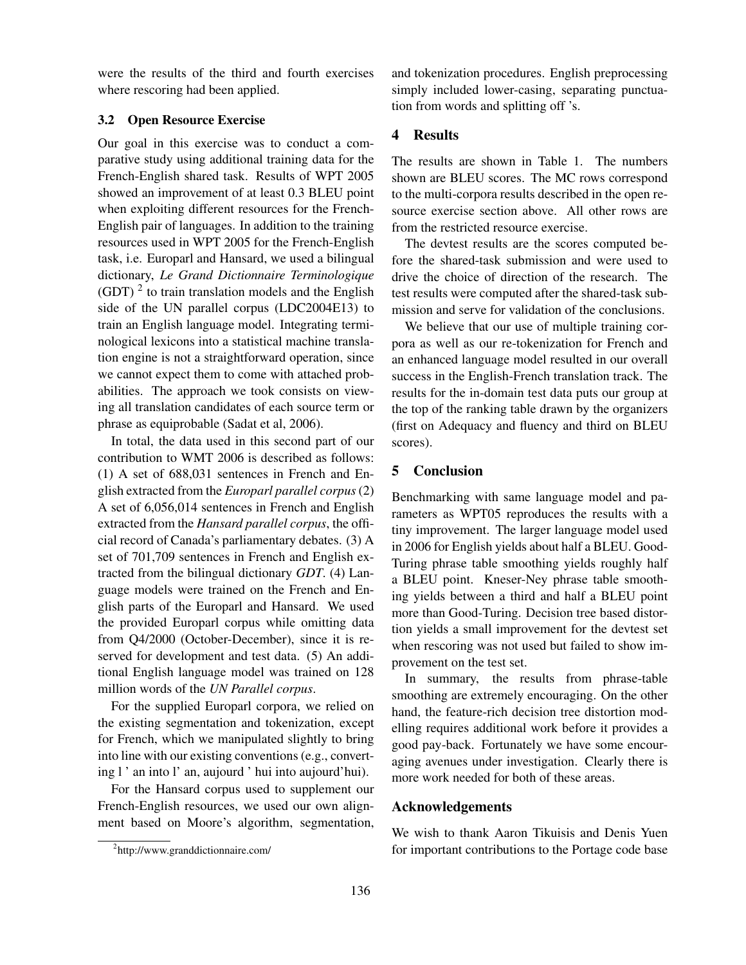were the results of the third and fourth exercises where rescoring had been applied.

### 3.2 Open Resource Exercise

Our goal in this exercise was to conduct a comparative study using additional training data for the French-English shared task. Results of WPT 2005 showed an improvement of at least 0.3 BLEU point when exploiting different resources for the French-English pair of languages. In addition to the training resources used in WPT 2005 for the French-English task, i.e. Europarl and Hansard, we used a bilingual dictionary, *Le Grand Dictionnaire Terminologique*  $(GDT)$ <sup>2</sup> to train translation models and the English side of the UN parallel corpus (LDC2004E13) to train an English language model. Integrating terminological lexicons into a statistical machine translation engine is not a straightforward operation, since we cannot expect them to come with attached probabilities. The approach we took consists on viewing all translation candidates of each source term or phrase as equiprobable (Sadat et al, 2006).

In total, the data used in this second part of our contribution to WMT 2006 is described as follows: (1) A set of 688,031 sentences in French and English extracted from the *Europarl parallel corpus* (2) A set of 6,056,014 sentences in French and English extracted from the *Hansard parallel corpus*, the official record of Canada's parliamentary debates. (3) A set of 701,709 sentences in French and English extracted from the bilingual dictionary *GDT*. (4) Language models were trained on the French and English parts of the Europarl and Hansard. We used the provided Europarl corpus while omitting data from Q4/2000 (October-December), since it is reserved for development and test data. (5) An additional English language model was trained on 128 million words of the *UN Parallel corpus*.

For the supplied Europarl corpora, we relied on the existing segmentation and tokenization, except for French, which we manipulated slightly to bring into line with our existing conventions (e.g., converting l ' an into l' an, aujourd ' hui into aujourd'hui).

For the Hansard corpus used to supplement our French-English resources, we used our own alignment based on Moore's algorithm, segmentation, and tokenization procedures. English preprocessing simply included lower-casing, separating punctuation from words and splitting off 's.

### 4 Results

The results are shown in Table 1. The numbers shown are BLEU scores. The MC rows correspond to the multi-corpora results described in the open resource exercise section above. All other rows are from the restricted resource exercise.

The devtest results are the scores computed before the shared-task submission and were used to drive the choice of direction of the research. The test results were computed after the shared-task submission and serve for validation of the conclusions.

We believe that our use of multiple training corpora as well as our re-tokenization for French and an enhanced language model resulted in our overall success in the English-French translation track. The results for the in-domain test data puts our group at the top of the ranking table drawn by the organizers (first on Adequacy and fluency and third on BLEU scores).

## 5 Conclusion

Benchmarking with same language model and parameters as WPT05 reproduces the results with a tiny improvement. The larger language model used in 2006 for English yields about half a BLEU. Good-Turing phrase table smoothing yields roughly half a BLEU point. Kneser-Ney phrase table smoothing yields between a third and half a BLEU point more than Good-Turing. Decision tree based distortion yields a small improvement for the devtest set when rescoring was not used but failed to show improvement on the test set.

In summary, the results from phrase-table smoothing are extremely encouraging. On the other hand, the feature-rich decision tree distortion modelling requires additional work before it provides a good pay-back. Fortunately we have some encouraging avenues under investigation. Clearly there is more work needed for both of these areas.

## Acknowledgements

We wish to thank Aaron Tikuisis and Denis Yuen for important contributions to the Portage code base

<sup>&</sup>lt;sup>2</sup>http://www.granddictionnaire.com/